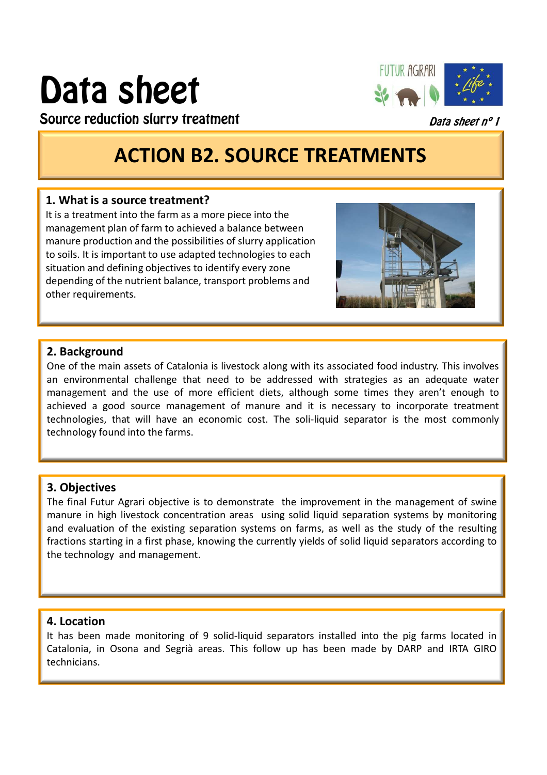# Data sheet



Source reduction slurry treatment

Data sheet nº 1

# **ACTION B2. SOURCE TREATMENTS**

#### **1. What is a source treatment?**

It is a treatment into the farm as a more piece into the management plan of farm to achieved a balance between manure production and the possibilities of slurry application to soils. It is important to use adapted technologies to each situation and defining objectives to identify every zone depending of the nutrient balance, transport problems and other requirements.



#### **2. Background**

One of the main assets of Catalonia is livestock along with its associated food industry. This involves an environmental challenge that need to be addressed with strategies as an adequate water management and the use of more efficient diets, although some times they aren't enough to achieved a good source management of manure and it is necessary to incorporate treatment technologies, that will have an economic cost. The soli-liquid separator is the most commonly technology found into the farms.

## **3. Objectives**

The final Futur Agrari objective is to demonstrate the improvement in the management of swine manure in high livestock concentration areas using solid liquid separation systems by monitoring and evaluation of the existing separation systems on farms, as well as the study of the resulting fractions starting in a first phase, knowing the currently yields of solid liquid separators according to the technology and management.

## **4. Location**

It has been made monitoring of 9 solid-liquid separators installed into the pig farms located in Catalonia, in Osona and Segrià areas. This follow up has been made by DARP and IRTA GIRO technicians.